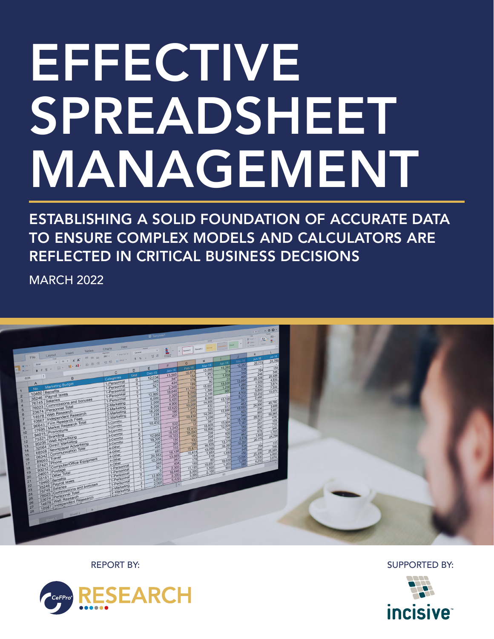## EFFECTIVE SPREADSHEET MANAGEMENT

ESTABLISHING A SOLID FOUNDATION OF ACCURATE DATA TO ENSURE COMPLEX MODELS AND CALCULATORS ARE REFLECTED IN CRITICAL BUSINESS DECISIONS

MARCH 2022



REPORT BY: SUPPORTED BY:



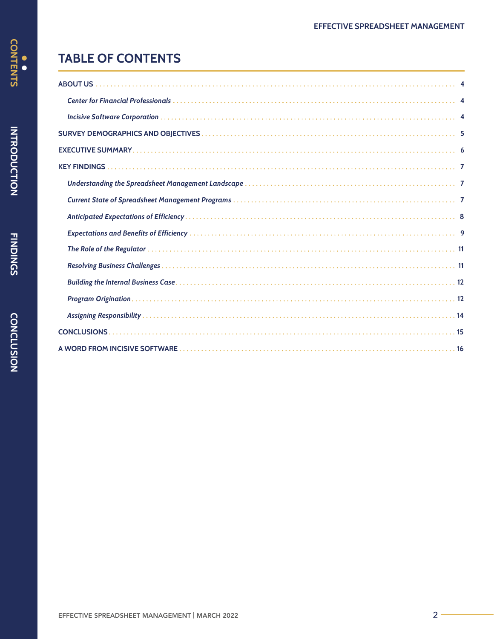## <span id="page-1-0"></span>**TABLE OF CONTENTS**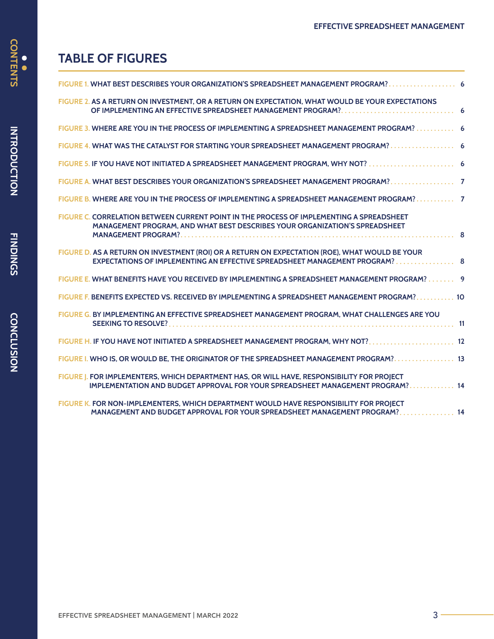# CONTENTS

|  |  | <b>TABLE OF FIGURES</b> |
|--|--|-------------------------|
|--|--|-------------------------|

| FIGURE 1. WHAT BEST DESCRIBES YOUR ORGANIZATION'S SPREADSHEET MANAGEMENT PROGRAM? 6                                                                                            |
|--------------------------------------------------------------------------------------------------------------------------------------------------------------------------------|
| FIGURE 2. AS A RETURN ON INVESTMENT, OR A RETURN ON EXPECTATION, WHAT WOULD BE YOUR EXPECTATIONS                                                                               |
| FIGURE 3. WHERE ARE YOU IN THE PROCESS OF IMPLEMENTING A SPREADSHEET MANAGEMENT PROGRAM? 6                                                                                     |
|                                                                                                                                                                                |
| FIGURE 5. IF YOU HAVE NOT INITIATED A SPREADSHEET MANAGEMENT PROGRAM, WHY NOT?  6                                                                                              |
| FIGURE A. WHAT BEST DESCRIBES YOUR ORGANIZATION'S SPREADSHEET MANAGEMENT PROGRAM? 7                                                                                            |
| FIGURE B. WHERE ARE YOU IN THE PROCESS OF IMPLEMENTING A SPREADSHEET MANAGEMENT PROGRAM? 7                                                                                     |
| FIGURE C. CORRELATION BETWEEN CURRENT POINT IN THE PROCESS OF IMPLEMENTING A SPREADSHEET<br>MANAGEMENT PROGRAM, AND WHAT BEST DESCRIBES YOUR ORGANIZATION'S SPREADSHEET        |
| FIGURE D. AS A RETURN ON INVESTMENT (ROI) OR A RETURN ON EXPECTATION (ROE), WHAT WOULD BE YOUR<br>EXPECTATIONS OF IMPLEMENTING AN EFFECTIVE SPREADSHEET MANAGEMENT PROGRAM?  8 |
| FIGURE E. WHAT BENEFITS HAVE YOU RECEIVED BY IMPLEMENTING A SPREADSHEET MANAGEMENT PROGRAM? 9                                                                                  |
| FIGURE F. BENEFITS EXPECTED VS. RECEIVED BY IMPLEMENTING A SPREADSHEET MANAGEMENT PROGRAM? 10                                                                                  |
| FIGURE G. BY IMPLEMENTING AN EFFECTIVE SPREADSHEET MANAGEMENT PROGRAM, WHAT CHALLENGES ARE YOU                                                                                 |
| FIGURE H. IF YOU HAVE NOT INITIATED A SPREADSHEET MANAGEMENT PROGRAM, WHY NOT? 12                                                                                              |
| FIGURE I. WHO IS, OR WOULD BE, THE ORIGINATOR OF THE SPREADSHEET MANAGEMENT PROGRAM? 13                                                                                        |
| FIGURE J. FOR IMPLEMENTERS, WHICH DEPARTMENT HAS, OR WILL HAVE, RESPONSIBILITY FOR PROJECT<br>IMPLEMENTATION AND BUDGET APPROVAL FOR YOUR SPREADSHEET MANAGEMENT PROGRAM? 14   |
| FIGURE K. FOR NON-IMPLEMENTERS, WHICH DEPARTMENT WOULD HAVE RESPONSIBILITY FOR PROJECT<br>MANAGEMENT AND BUDGET APPROVAL FOR YOUR SPREADSHEET MANAGEMENT PROGRAM? 14           |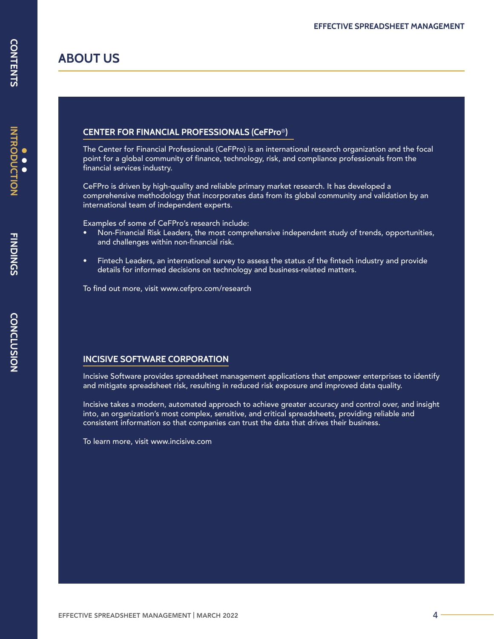<span id="page-3-0"></span>**ABOUT US**

## **CENTER FOR FINANCIAL PROFESSIONALS (CeFPro**®**)**

The Center for Financial Professionals (CeFPro) is an international research organization and the focal point for a global community of finance, technology, risk, and compliance professionals from the financial services industry.

CeFPro is driven by high-quality and reliable primary market research. It has developed a comprehensive methodology that incorporates data from its global community and validation by an international team of independent experts.

Examples of some of CeFPro's research include:

- Non-Financial Risk Leaders, the most comprehensive independent study of trends, opportunities, and challenges within non-financial risk.
- Fintech Leaders, an international survey to assess the status of the fintech industry and provide details for informed decisions on technology and business-related matters.

To find out more, visit www.cefpro.com/research

#### **INCISIVE SOFTWARE CORPORATION**

Incisive Software provides spreadsheet management applications that empower enterprises to identify and mitigate spreadsheet risk, resulting in reduced risk exposure and improved data quality.

Incisive takes a modern, automated approach to achieve greater accuracy and control over, and insight into, an organization's most complex, sensitive, and critical spreadsheets, providing reliable and consistent information so that companies can trust the data that drives their business.

To learn more, visit www.incisive.com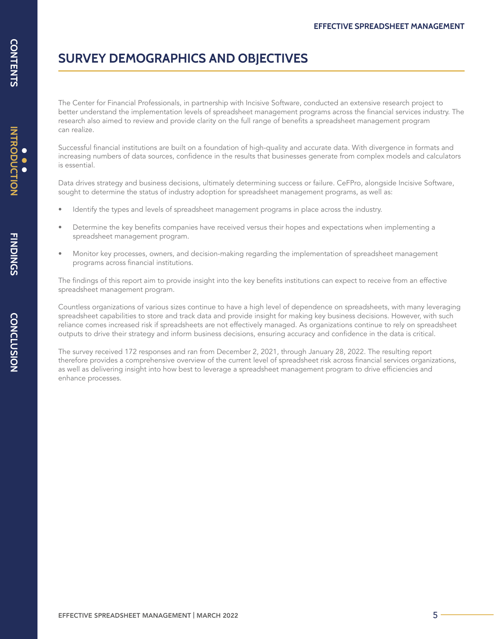## **SURVEY DEMOGRAPHICS AND OBJECTIVES**

The Center for Financial Professionals, in partnership with Incisive Software, conducted an extensive research project to better understand the implementation levels of spreadsheet management programs across the financial services industry. The research also aimed to review and provide clarity on the full range of benefits a spreadsheet management program can realize.

Successful financial institutions are built on a foundation of high-quality and accurate data. With divergence in formats and increasing numbers of data sources, confidence in the results that businesses generate from complex models and calculators is essential.

Data drives strategy and business decisions, ultimately determining success or failure. CeFPro, alongside Incisive Software, sought to determine the status of industry adoption for spreadsheet management programs, as well as:

- Identify the types and levels of spreadsheet management programs in place across the industry.
- Determine the key benefits companies have received versus their hopes and expectations when implementing a spreadsheet management program.
- Monitor key processes, owners, and decision-making regarding the implementation of spreadsheet management programs across financial institutions.

The findings of this report aim to provide insight into the key benefits institutions can expect to receive from an effective spreadsheet management program.

Countless organizations of various sizes continue to have a high level of dependence on spreadsheets, with many leveraging spreadsheet capabilities to store and track data and provide insight for making key business decisions. However, with such reliance comes increased risk if spreadsheets are not effectively managed. As organizations continue to rely on spreadsheet outputs to drive their strategy and inform business decisions, ensuring accuracy and confidence in the data is critical.

The survey received 172 responses and ran from December 2, 2021, through January 28, 2022. The resulting report therefore provides a comprehensive overview of the current level of spreadsheet risk across financial services organizations, as well as delivering insight into how best to leverage a spreadsheet management program to drive efficiencies and enhance processes.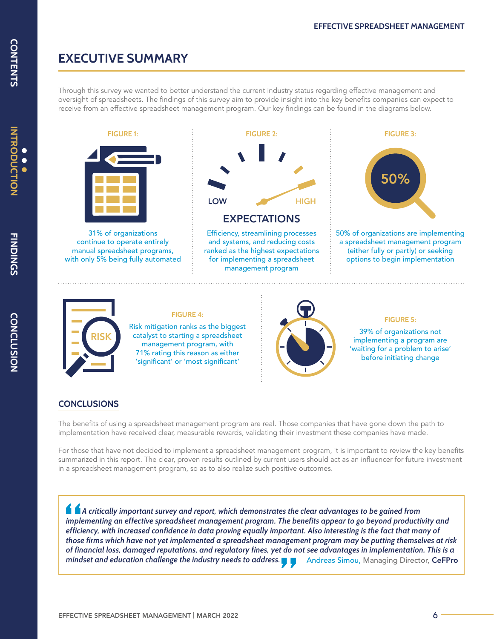### **EXECUTIVE SUMMARY**

Through this survey we wanted to better understand the current industry status regarding effective management and oversight of spreadsheets. The findings of this survey aim to provide insight into the key benefits companies can expect to receive from an effective spreadsheet management program. Our key findings can be found in the diagrams below.



management program, with 71% rating this reason as either 'significant' or 'most significant'



'waiting for a problem to arise' before initiating change

#### **CONCLUSIONS**

The benefits of using a spreadsheet management program are real. Those companies that have gone down the path to implementation have received clear, measurable rewards, validating their investment these companies have made.

For those that have not decided to implement a spreadsheet management program, it is important to review the key benefits summarized in this report. The clear, proven results outlined by current users should act as an influencer for future investment in a spreadsheet management program, so as to also realize such positive outcomes.

 *A critically important survey and report, which demonstrates the clear advantages to be gained from implementing an effective spreadsheet management program. The benefits appear to go beyond productivity and efficiency, with increased confidence in data proving equally important. Also interesting is the fact that many of those firms which have not yet implemented a spreadsheet management program may be putting themselves at risk of financial loss, damaged reputations, and regulatory fines, yet do not see advantages in implementation. This is a mindset and education challenge the industry needs to address.* Andreas Simou, Managing Director, CeFPro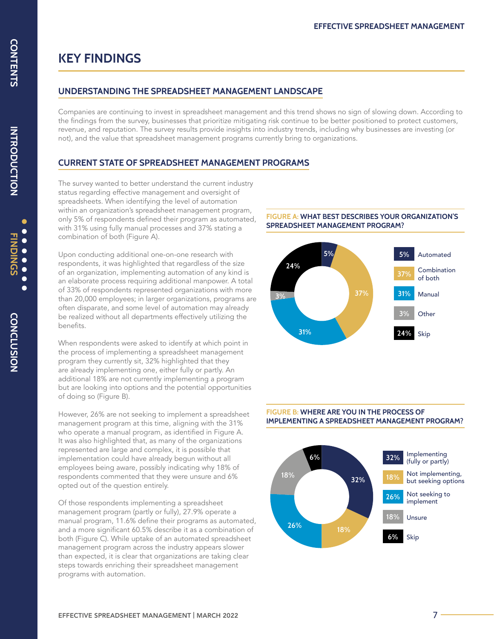## <span id="page-6-0"></span>**KEY FINDINGS**

#### **UNDERSTANDING THE SPREADSHEET MANAGEMENT LANDSCAPE**

Companies are continuing to invest in spreadsheet management and this trend shows no sign of slowing down. According to the findings from the survey, businesses that prioritize mitigating risk continue to be better positioned to protect customers, revenue, and reputation. The survey results provide insights into industry trends, including why businesses are investing (or not), and the value that spreadsheet management programs currently bring to organizations.

#### **CURRENT STATE OF SPREADSHEET MANAGEMENT PROGRAMS**

The survey wanted to better understand the current industry status regarding effective management and oversight of spreadsheets. When identifying the level of automation within an organization's spreadsheet management program, only 5% of respondents defined their program as automated, with 31% using fully manual processes and 37% stating a combination of both (Figure A).

Upon conducting additional one-on-one research with respondents, it was highlighted that regardless of the size of an organization, implementing automation of any kind is an elaborate process requiring additional manpower. A total of 33% of respondents represented organizations with more than 20,000 employees; in larger organizations, programs are often disparate, and some level of automation may already be realized without all departments effectively utilizing the benefits.

When respondents were asked to identify at which point in the process of implementing a spreadsheet management program they currently sit, 32% highlighted that they are already implementing one, either fully or partly. An additional 18% are not currently implementing a program but are looking into options and the potential opportunities of doing so (Figure B).

However, 26% are not seeking to implement a spreadsheet management program at this time, aligning with the 31% who operate a manual program, as identified in Figure A. It was also highlighted that, as many of the organizations represented are large and complex, it is possible that implementation could have already begun without all employees being aware, possibly indicating why 18% of respondents commented that they were unsure and 6% opted out of the question entirely.

Of those respondents implementing a spreadsheet management program (partly or fully), 27.9% operate a manual program, 11.6% define their programs as automated, and a more significant 60.5% describe it as a combination of both (Figure C). While uptake of an automated spreadsheet management program across the industry appears slower than expected, it is clear that organizations are taking clear steps towards enriching their spreadsheet management programs with automation.

#### **FIGURE A: WHAT BEST DESCRIBES YOUR ORGANIZATION'S SPREADSHEET MANAGEMENT PROGRAM?**



#### **FIGURE B: WHERE ARE YOU IN THE PROCESS OF IMPLEMENTING A SPREADSHEET MANAGEMENT PROGRAM?**

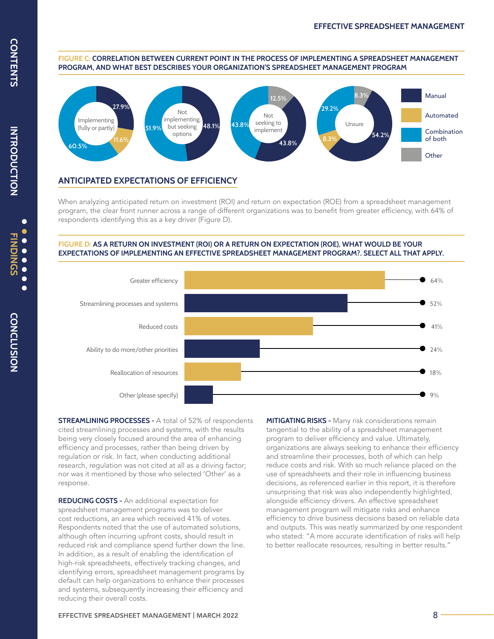#### **FIGURE C: CORRELATION BETWEEN CURRENT POINT IN THE PROCESS OF IMPLEMENTING A SPREADSHEET MANAGEMENT PROGRAM, AND WHAT BEST DESCRIBES YOUR ORGANIZATION'S SPREADSHEET MANAGEMENT PROGRAM**



#### **ANTICIPATED EXPECTATIONS OF EFFICIENCY**

When analyzing anticipated return on investment (ROI) and return on expectation (ROE) from a spreadsheet management program, the clear front runner across a range of different organizations was to benefit from greater efficiency, with 64% of respondents identifying this as a key driver (Figure D).

#### **FIGURE D: AS A RETURN ON INVESTMENT (ROI) OR A RETURN ON EXPECTATION (ROE), WHAT WOULD BE YOUR EXPECTATIONS OF IMPLEMENTING AN EFFECTIVE SPREADSHEET MANAGEMENT PROGRAM?. SELECT ALL THAT APPLY.**



**STREAMLINING PROCESSES -** A total of 52% of respondents cited streamlining processes and systems, with the results being very closely focused around the area of enhancing efficiency and processes, rather than being driven by regulation or risk. In fact, when conducting additional research, regulation was not cited at all as a driving factor; nor was it mentioned by those who selected 'Other' as a response.

**REDUCING COSTS -** An additional expectation for spreadsheet management programs was to deliver cost reductions, an area which received 41% of votes. Respondents noted that the use of automated solutions, although often incurring upfront costs, should result in reduced risk and compliance spend further down the line. In addition, as a result of enabling the identification of high-risk spreadsheets, effectively tracking changes, and identifying errors, spreadsheet management programs by default can help organizations to enhance their processes and systems, subsequently increasing their efficiency and reducing their overall costs.

**MITIGATING RISKS -** Many risk considerations remain tangential to the ability of a spreadsheet management program to deliver efficiency and value. Ultimately, organizations are always seeking to enhance their efficiency and streamline their processes, both of which can help reduce costs and risk. With so much reliance placed on the use of spreadsheets and their role in influencing business decisions, as referenced earlier in this report, it is therefore unsurprising that risk was also independently highlighted, alongside efficiency drivers. An effective spreadsheet management program will mitigate risks and enhance efficiency to drive business decisions based on reliable data and outputs. This was neatly summarized by one respondent who stated: "A more accurate identification of risks will help to better reallocate resources, resulting in better results."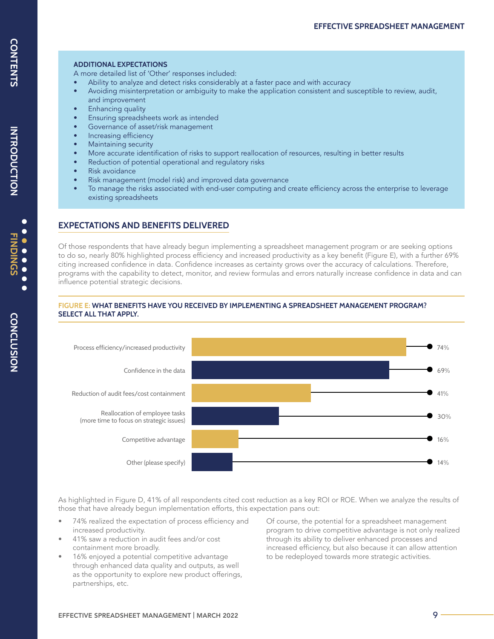#### **ADDITIONAL EXPECTATIONS**

A more detailed list of 'Other' responses included:

- Ability to analyze and detect risks considerably at a faster pace and with accuracy
- Avoiding misinterpretation or ambiguity to make the application consistent and susceptible to review, audit, and improvement
- Enhancing quality
- Ensuring spreadsheets work as intended
- Governance of asset/risk management
- Increasing efficiency
- Maintaining security
- More accurate identification of risks to support reallocation of resources, resulting in better results
- Reduction of potential operational and regulatory risks
- Risk avoidance
- Risk management (model risk) and improved data governance
- To manage the risks associated with end-user computing and create efficiency across the enterprise to leverage existing spreadsheets

#### **EXPECTATIONS AND BENEFITS DELIVERED**

Of those respondents that have already begun implementing a spreadsheet management program or are seeking options to do so, nearly 80% highlighted process efficiency and increased productivity as a key benefit (Figure E), with a further 69% citing increased confidence in data. Confidence increases as certainty grows over the accuracy of calculations. Therefore, programs with the capability to detect, monitor, and review formulas and errors naturally increase confidence in data and can influence potential strategic decisions.

#### **FIGURE E: WHAT BENEFITS HAVE YOU RECEIVED BY IMPLEMENTING A SPREADSHEET MANAGEMENT PROGRAM? SELECT ALL THAT APPLY.**



As highlighted in Figure D, 41% of all respondents cited cost reduction as a key ROI or ROE. When we analyze the results of those that have already begun implementation efforts, this expectation pans out:

- 74% realized the expectation of process efficiency and increased productivity.
- 41% saw a reduction in audit fees and/or cost containment more broadly.
- 16% enjoyed a potential competitive advantage through enhanced data quality and outputs, as well as the opportunity to explore new product offerings, partnerships, etc.

Of course, the potential for a spreadsheet management program to drive competitive advantage is not only realized through its ability to deliver enhanced processes and increased efficiency, but also because it can allow attention to be redeployed towards more strategic activities.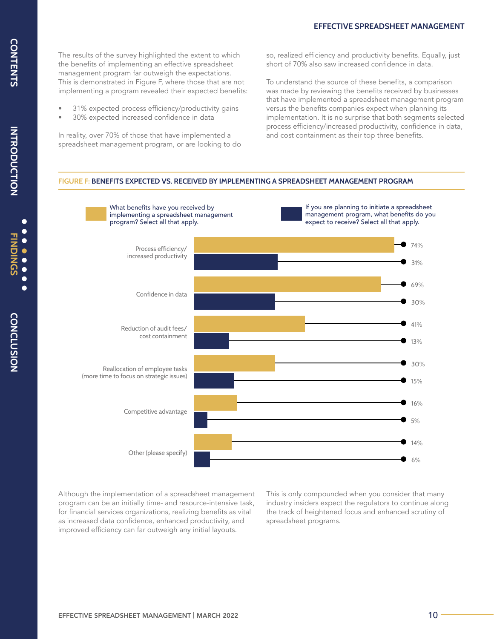#### **EFFECTIVE SPREADSHEET MANAGEMENT**

The results of the survey highlighted the extent to which the benefits of implementing an effective spreadsheet management program far outweigh the expectations. This is demonstrated in Figure F, where those that are not implementing a program revealed their expected benefits:

- 31% expected process efficiency/productivity gains
- 30% expected increased confidence in data

In reality, over 70% of those that have implemented a spreadsheet management program, or are looking to do so, realized efficiency and productivity benefits. Equally, just short of 70% also saw increased confidence in data.

To understand the source of these benefits, a comparison was made by reviewing the benefits received by businesses that have implemented a spreadsheet management program versus the benefits companies expect when planning its implementation. It is no surprise that both segments selected process efficiency/increased productivity, confidence in data, and cost containment as their top three benefits.

#### **FIGURE F: BENEFITS EXPECTED VS. RECEIVED BY IMPLEMENTING A SPREADSHEET MANAGEMENT PROGRAM**



Although the implementation of a spreadsheet management program can be an initially time- and resource-intensive task, for financial services organizations, realizing benefits as vital as increased data confidence, enhanced productivity, and improved efficiency can far outweigh any initial layouts.

This is only compounded when you consider that many industry insiders expect the regulators to continue along the track of heightened focus and enhanced scrutiny of spreadsheet programs.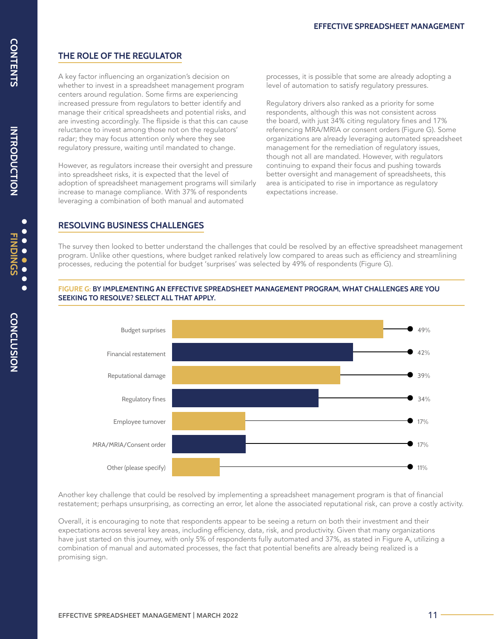### **THE ROLE OF THE REGULATOR**

A key factor influencing an organization's decision on whether to invest in a spreadsheet management program centers around regulation. Some firms are experiencing increased pressure from regulators to better identify and manage their critical spreadsheets and potential risks, and are investing accordingly. The flipside is that this can cause reluctance to invest among those not on the regulators' radar; they may focus attention only where they see regulatory pressure, waiting until mandated to change.

However, as regulators increase their oversight and pressure into spreadsheet risks, it is expected that the level of adoption of spreadsheet management programs will similarly increase to manage compliance. With 37% of respondents leveraging a combination of both manual and automated

processes, it is possible that some are already adopting a level of automation to satisfy regulatory pressures.

Regulatory drivers also ranked as a priority for some respondents, although this was not consistent across the board, with just 34% citing regulatory fines and 17% referencing MRA/MRIA or consent orders (Figure G). Some organizations are already leveraging automated spreadsheet management for the remediation of regulatory issues, though not all are mandated. However, with regulators continuing to expand their focus and pushing towards better oversight and management of spreadsheets, this area is anticipated to rise in importance as regulatory expectations increase.

#### **RESOLVING BUSINESS CHALLENGES**

The survey then looked to better understand the challenges that could be resolved by an effective spreadsheet management program. Unlike other questions, where budget ranked relatively low compared to areas such as efficiency and streamlining processes, reducing the potential for budget 'surprises' was selected by 49% of respondents (Figure G).

#### **FIGURE G: BY IMPLEMENTING AN EFFECTIVE SPREADSHEET MANAGEMENT PROGRAM, WHAT CHALLENGES ARE YOU SEEKING TO RESOLVE? SELECT ALL THAT APPLY.**



Another key challenge that could be resolved by implementing a spreadsheet management program is that of financial restatement; perhaps unsurprising, as correcting an error, let alone the associated reputational risk, can prove a costly activity.

Overall, it is encouraging to note that respondents appear to be seeing a return on both their investment and their expectations across several key areas, including efficiency, data, risk, and productivity. Given that many organizations have just started on this journey, with only 5% of respondents fully automated and 37%, as stated in Figure A, utilizing a combination of manual and automated processes, the fact that potential benefits are already being realized is a promising sign.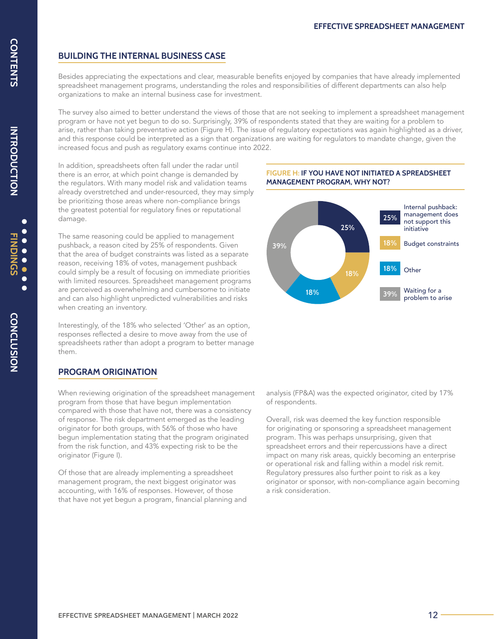#### **BUILDING THE INTERNAL BUSINESS CASE**

Besides appreciating the expectations and clear, measurable benefits enjoyed by companies that have already implemented spreadsheet management programs, understanding the roles and responsibilities of different departments can also help organizations to make an internal business case for investment.

The survey also aimed to better understand the views of those that are not seeking to implement a spreadsheet management program or have not yet begun to do so. Surprisingly, 39% of respondents stated that they are waiting for a problem to arise, rather than taking preventative action (Figure H). The issue of regulatory expectations was again highlighted as a driver, and this response could be interpreted as a sign that organizations are waiting for regulators to mandate change, given the increased focus and push as regulatory exams continue into 2022.

In addition, spreadsheets often fall under the radar until there is an error, at which point change is demanded by the regulators. With many model risk and validation teams already overstretched and under-resourced, they may simply be prioritizing those areas where non-compliance brings the greatest potential for regulatory fines or reputational damage.

The same reasoning could be applied to management pushback, a reason cited by 25% of respondents. Given that the area of budget constraints was listed as a separate reason, receiving 18% of votes, management pushback could simply be a result of focusing on immediate priorities with limited resources. Spreadsheet management programs are perceived as overwhelming and cumbersome to initiate and can also highlight unpredicted vulnerabilities and risks when creating an inventory.

Interestingly, of the 18% who selected 'Other' as an option, responses reflected a desire to move away from the use of spreadsheets rather than adopt a program to better manage them.

#### **PROGRAM ORIGINATION**

When reviewing origination of the spreadsheet management program from those that have begun implementation compared with those that have not, there was a consistency of response. The risk department emerged as the leading originator for both groups, with 56% of those who have begun implementation stating that the program originated from the risk function, and 43% expecting risk to be the originator (Figure I).

Of those that are already implementing a spreadsheet management program, the next biggest originator was accounting, with 16% of responses. However, of those that have not yet begun a program, financial planning and



Overall, risk was deemed the key function responsible for originating or sponsoring a spreadsheet management program. This was perhaps unsurprising, given that spreadsheet errors and their repercussions have a direct impact on many risk areas, quickly becoming an enterprise or operational risk and falling within a model risk remit. Regulatory pressures also further point to risk as a key originator or sponsor, with non-compliance again becoming a risk consideration.



**FIGURE H: IF YOU HAVE NOT INITIATED A SPREADSHEET** 

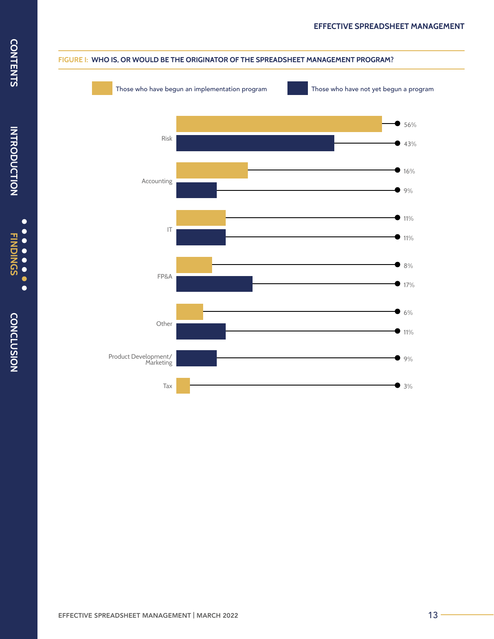

#### **FIGURE I: WHO IS, OR WOULD BE THE ORIGINATOR OF THE SPREADSHEET MANAGEMENT PROGRAM?**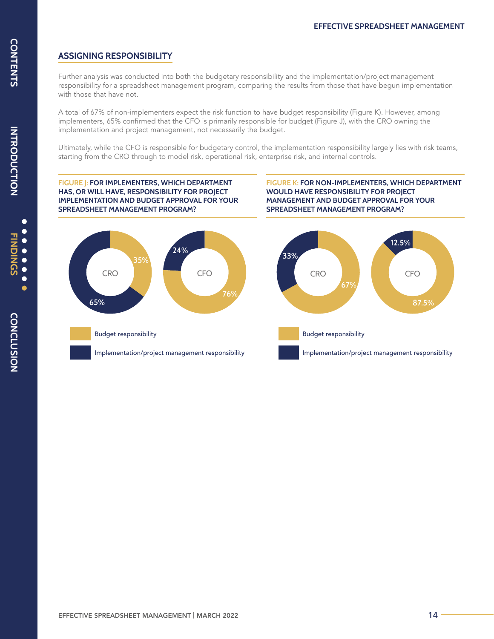#### **ASSIGNING RESPONSIBILITY**

Further analysis was conducted into both the budgetary responsibility and the implementation/project management responsibility for a spreadsheet management program, comparing the results from those that have begun implementation with those that have not.

A total of 67% of non-implementers expect the risk function to have budget responsibility (Figure K). However, among implementers, 65% confirmed that the CFO is primarily responsible for budget (Figure J), with the CRO owning the implementation and project management, not necessarily the budget.

Ultimately, while the CFO is responsible for budgetary control, the implementation responsibility largely lies with risk teams, starting from the CRO through to model risk, operational risk, enterprise risk, and internal controls.

**FIGURE J: FOR IMPLEMENTERS, WHICH DEPARTMENT HAS, OR WILL HAVE, RESPONSIBILITY FOR PROJECT IMPLEMENTATION AND BUDGET APPROVAL FOR YOUR SPREADSHEET MANAGEMENT PROGRAM?**

**FIGURE K: FOR NON-IMPLEMENTERS, WHICH DEPARTMENT WOULD HAVE RESPONSIBILITY FOR PROJECT MANAGEMENT AND BUDGET APPROVAL FOR YOUR SPREADSHEET MANAGEMENT PROGRAM?**

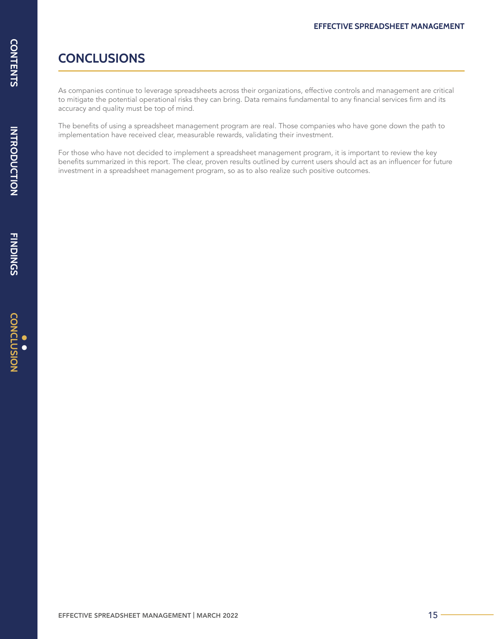## <span id="page-14-0"></span>**CONCLUSIONS**

As companies continue to leverage spreadsheets across their organizations, effective controls and management are critical to mitigate the potential operational risks they can bring. Data remains fundamental to any financial services firm and its accuracy and quality must be top of mind.

The benefits of using a spreadsheet management program are real. Those companies who have gone down the path to implementation have received clear, measurable rewards, validating their investment.

For those who have not decided to implement a spreadsheet management program, it is important to review the key benefits summarized in this report. The clear, proven results outlined by current users should act as an influencer for future investment in a spreadsheet management program, so as to also realize such positive outcomes.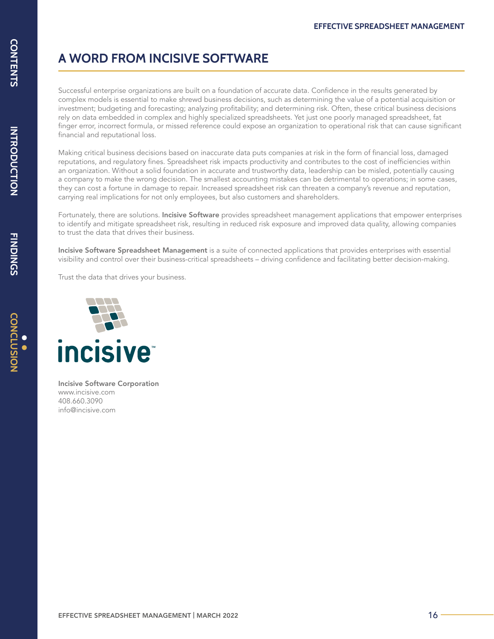## **A WORD FROM INCISIVE SOFTWARE**

Successful enterprise organizations are built on a foundation of accurate data. Confidence in the results generated by complex models is essential to make shrewd business decisions, such as determining the value of a potential acquisition or investment; budgeting and forecasting; analyzing profitability; and determining risk. Often, these critical business decisions rely on data embedded in complex and highly specialized spreadsheets. Yet just one poorly managed spreadsheet, fat finger error, incorrect formula, or missed reference could expose an organization to operational risk that can cause significant financial and reputational loss.

Making critical business decisions based on inaccurate data puts companies at risk in the form of financial loss, damaged reputations, and regulatory fines. Spreadsheet risk impacts productivity and contributes to the cost of inefficiencies within an organization. Without a solid foundation in accurate and trustworthy data, leadership can be misled, potentially causing a company to make the wrong decision. The smallest accounting mistakes can be detrimental to operations; in some cases, they can cost a fortune in damage to repair. Increased spreadsheet risk can threaten a company's revenue and reputation, carrying real implications for not only employees, but also customers and shareholders.

Fortunately, there are solutions. Incisive Software provides spreadsheet management applications that empower enterprises to identify and mitigate spreadsheet risk, resulting in reduced risk exposure and improved data quality, allowing companies to trust the data that drives their business.

Incisive Software Spreadsheet Management is a suite of connected applications that provides enterprises with essential visibility and control over their business-critical spreadsheets – driving confidence and facilitating better decision-making.

Trust the data that drives your business.



Incisive Software Corporation www.incisive.com 408.660.3090 info@incisive.com